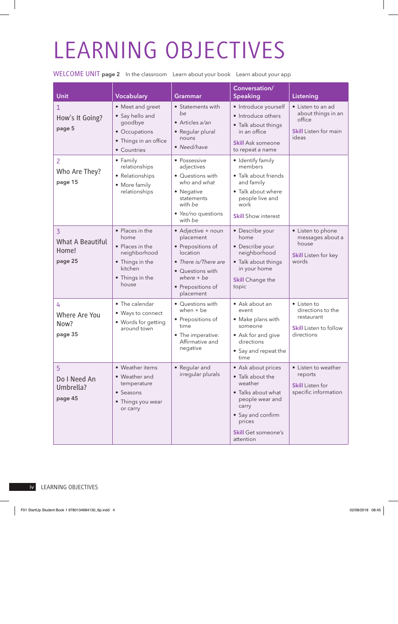## LEARNING OBJECTIVES

WELCOME UNIT page 2 In the classroom Learn about your book Learn about your app

| Unit                                                          | <b>Vocabulary</b>                                                                                                    | Grammar                                                                                                                                                        | Conversation/<br><b>Speaking</b>                                                                                                                                              | Listening                                                                                     |
|---------------------------------------------------------------|----------------------------------------------------------------------------------------------------------------------|----------------------------------------------------------------------------------------------------------------------------------------------------------------|-------------------------------------------------------------------------------------------------------------------------------------------------------------------------------|-----------------------------------------------------------------------------------------------|
| How's It Going?<br>page 5                                     | • Meet and greet<br>• Say hello and<br>goodbye<br>• Occupations<br>• Things in an office<br>• Countries              | • Statements with<br>be<br>• Articles a/an<br>• Regular plural<br>nouns<br>• Need/have                                                                         | · Introduce yourself<br>• Introduce others<br>• Talk about things<br>in an office<br><b>Skill Ask someone</b><br>to repeat a name                                             | • Listen to an ad<br>about things in an<br>office<br><b>Skill Listen for main</b><br>ideas    |
| $\overline{2}$<br>Who Are They?<br>page 15                    | • Family<br>relationships<br>• Relationships<br>• More family<br>relationships                                       | • Possessive<br>adjectives<br>• Questions with<br>who and what<br>• Negative<br>statements<br>with be<br>• Yes/no questions<br>with be                         | • Identify family<br>members<br>· Talk about friends<br>and family<br>• Talk about where<br>people live and<br>work<br><b>Skill Show interest</b>                             |                                                                                               |
| $\overline{3}$<br><b>What A Beautiful</b><br>Home!<br>page 25 | • Places in the<br>home<br>• Places in the<br>neighborhood<br>• Things in the<br>kitchen<br>• Things in the<br>house | • Adjective + noun<br>placement<br>• Prepositions of<br>location<br>• There is/There are<br>• Questions with<br>$where + be$<br>• Prepositions of<br>placement | • Describe your<br>home<br>• Describe your<br>neighborhood<br>• Talk about things<br>in your home<br><b>Skill Change the</b><br>topic                                         | • Listen to phone<br>messages about a<br>house<br>Skill Listen for key<br>words               |
| 4<br>Where Are You<br>Now?<br>page 35                         | • The calendar<br>• Ways to connect<br>• Words for getting<br>around town                                            | • Questions with<br>when $+$ be<br>• Prepositions of<br>time<br>• The imperative:<br>Affirmative and<br>negative                                               | • Ask about an<br>event<br>• Make plans with<br>someone<br>• Ask for and give<br>directions<br>• Say and repeat the<br>time                                                   | • Listen to<br>directions to the<br>restaurant<br><b>Skill</b> Listen to follow<br>directions |
| 5 <sup>5</sup><br>Do I Need An<br>Umbrella?<br>page 45        | • Weather items<br>• Weather and<br>temperature<br>• Seasons<br>• Things you wear<br>or carry                        | • Regular and<br>irregular plurals                                                                                                                             | • Ask about prices<br>• Talk about the<br>weather<br>• Talks about what<br>people wear and<br>carry<br>• Say and confirm<br>prices<br><b>Skill Get someone's</b><br>attention | • Listen to weather<br>reports<br><b>Skill Listen for</b><br>specific information             |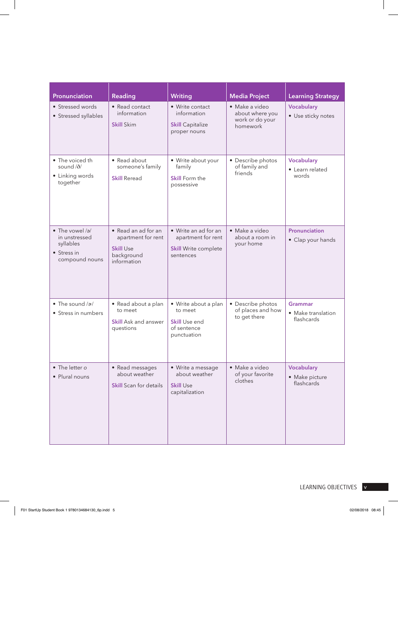| Pronunciation                                                                          | Reading                                                                                    | <b>Writing</b>                                                                         | <b>Media Project</b>                                             | <b>Learning Strategy</b>                      |
|----------------------------------------------------------------------------------------|--------------------------------------------------------------------------------------------|----------------------------------------------------------------------------------------|------------------------------------------------------------------|-----------------------------------------------|
| • Stressed words<br>• Stressed syllables                                               | • Read contact<br>information<br><b>Skill Skim</b>                                         | • Write contact<br>information<br><b>Skill Capitalize</b><br>proper nouns              | · Make a video<br>about where you<br>work or do your<br>homework | Vocabulary<br>• Use sticky notes              |
| • The voiced th<br>sound /ð/<br>• Linking words<br>together                            | • Read about<br>someone's family<br><b>Skill Reread</b>                                    | • Write about your<br>family<br>Skill Form the<br>possessive                           | • Describe photos<br>of family and<br>friends                    | <b>Vocabulary</b><br>• Learn related<br>words |
| $\bullet$ The vowel /a/<br>in unstressed<br>syllables<br>• Stress in<br>compound nouns | • Read an ad for an<br>apartment for rent<br><b>Skill Use</b><br>background<br>information | • Write an ad for an<br>apartment for rent<br><b>Skill Write complete</b><br>sentences | · Make a video<br>about a room in<br>your home                   | Pronunciation<br>• Clap your hands            |
| $\bullet$ The sound / $\alpha$ /<br>• Stress in numbers                                | • Read about a plan<br>to meet<br><b>Skill Ask and answer</b><br>questions                 | · Write about a plan<br>to meet<br><b>Skill Use end</b><br>of sentence<br>punctuation  | • Describe photos<br>of places and how<br>to get there           | Grammar<br>• Make translation<br>flashcards   |
| • The letter o<br>• Plural nouns                                                       | • Read messages<br>about weather<br><b>Skill Scan for details</b>                          | • Write a message<br>about weather<br><b>Skill Use</b><br>capitalization               | • Make a video<br>of your favorite<br>clothes                    | Vocabulary<br>• Make picture<br>flashcards    |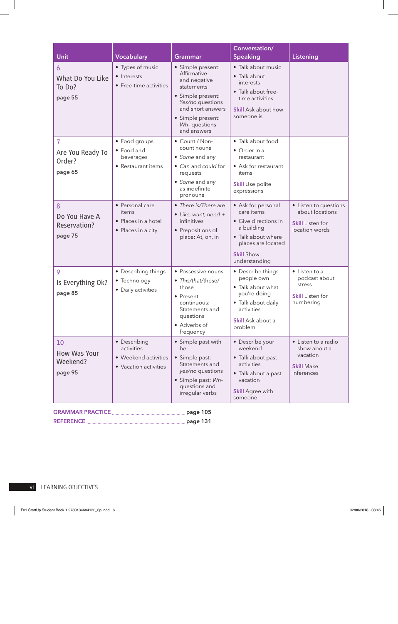| Unit                                          | Vocabulary                                                                  | Grammar                                                                                                                                                                          | Conversation/<br>Speaking                                                                                                                                | Listening                                                                             |
|-----------------------------------------------|-----------------------------------------------------------------------------|----------------------------------------------------------------------------------------------------------------------------------------------------------------------------------|----------------------------------------------------------------------------------------------------------------------------------------------------------|---------------------------------------------------------------------------------------|
| 6<br>What Do You Like<br>To Do?<br>page 55    | • Types of music<br>• Interests<br>• Free-time activities                   | · Simple present:<br>Affirmative<br>and negative<br>statements<br>· Simple present:<br>Yes/no questions<br>and short answers<br>· Simple present:<br>Wh-questions<br>and answers | · Talk about music<br>• Talk about<br>interests<br>· Talk about free-<br>time activities<br>Skill Ask about how<br>someone is                            |                                                                                       |
| 7<br>Are You Ready To<br>Order?<br>page 65    | • Food groups<br>• Food and<br>beverages<br>• Restaurant items              | • Count / Non-<br>count nouns<br>• Some and any<br>• Can and could for<br>requests<br>• Some and any<br>as indefinite<br>pronouns                                                | • Talk about food<br>• Order in a<br>restaurant<br>• Ask for restaurant<br>items<br><b>Skill Use polite</b><br>expressions                               |                                                                                       |
| 8<br>Do You Have A<br>Reservation?<br>page 75 | • Personal care<br>items<br>• Places in a hotel<br>• Places in a city       | • There is/There are<br>• Like, want, need +<br>infinitives<br>• Prepositions of<br>place: At, on, in                                                                            | • Ask for personal<br>care items<br>• Give directions in<br>a building<br>• Talk about where<br>places are located<br><b>Skill Show</b><br>understanding | • Listen to questions<br>about locations<br><b>Skill Listen for</b><br>location words |
| 9<br>Is Everything Ok?<br>page 85             | • Describing things<br>• Technology<br>• Daily activities                   | • Possessive nouns<br>· This/that/these/<br>those<br>• Present<br>continuous:<br>Statements and<br>questions<br>• Adverbs of<br>frequency                                        | • Describe things<br>people own<br>• Talk about what<br>you're doing<br>• Talk about daily<br>activities<br>Skill Ask about a<br>problem                 | • Listen to a<br>podcast about<br>stress<br><b>Skill</b> Listen for<br>numbering      |
| 10<br>How Was Your<br>Weekend?<br>page 95     | • Describing<br>activities<br>• Weekend activities<br>• Vacation activities | • Simple past with<br>be<br>· Simple past:<br>Statements and<br>yes/no questions<br>· Simple past: Wh-<br>questions and<br>irregular verbs                                       | • Describe your<br>weekend<br>• Talk about past<br>activities<br>· Talk about a past<br>vacation<br><b>Skill Agree with</b><br>someone                   | • Listen to a radio<br>show about a<br>vacation<br><b>Skill Make</b><br>inferences    |

REFERENCE page 131